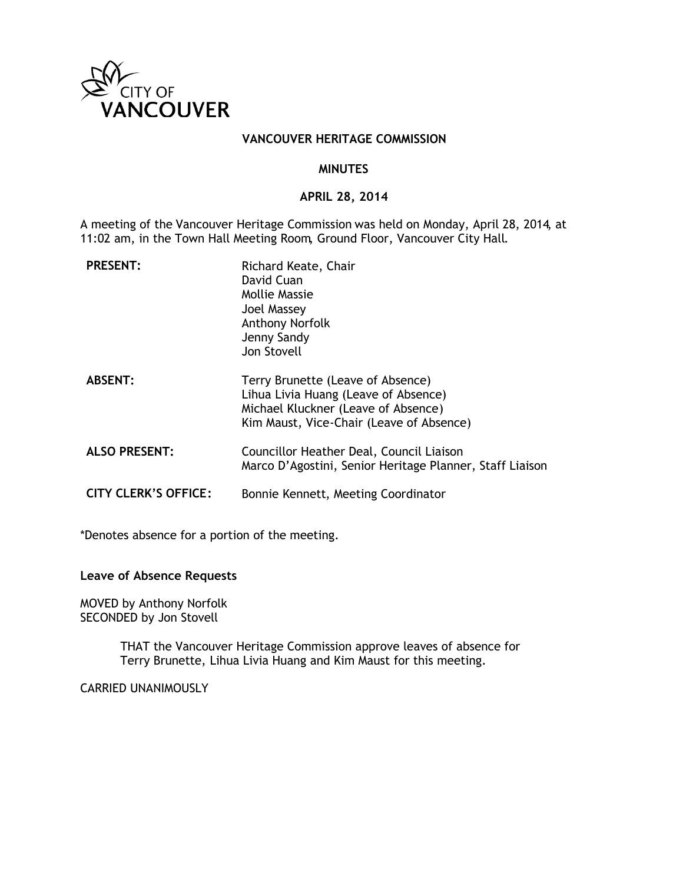

#### **VANCOUVER HERITAGE COMMISSION**

#### **MINUTES**

### **APRIL 28, 2014**

A meeting of the Vancouver Heritage Commission was held on Monday, April 28, 2014, at 11:02 am, in the Town Hall Meeting Room, Ground Floor, Vancouver City Hall.

| <b>PRESENT:</b>             | Richard Keate, Chair<br>David Cuan<br>Mollie Massie<br>Joel Massey<br><b>Anthony Norfolk</b><br>Jenny Sandy<br>Jon Stovell                                   |
|-----------------------------|--------------------------------------------------------------------------------------------------------------------------------------------------------------|
| <b>ABSENT:</b>              | Terry Brunette (Leave of Absence)<br>Lihua Livia Huang (Leave of Absence)<br>Michael Kluckner (Leave of Absence)<br>Kim Maust, Vice-Chair (Leave of Absence) |
| <b>ALSO PRESENT:</b>        | Councillor Heather Deal, Council Liaison<br>Marco D'Agostini, Senior Heritage Planner, Staff Liaison                                                         |
| <b>CITY CLERK'S OFFICE:</b> | Bonnie Kennett, Meeting Coordinator                                                                                                                          |

\*Denotes absence for a portion of the meeting.

#### **Leave of Absence Requests**

MOVED by Anthony Norfolk SECONDED by Jon Stovell

> THAT the Vancouver Heritage Commission approve leaves of absence for Terry Brunette, Lihua Livia Huang and Kim Maust for this meeting.

CARRIED UNANIMOUSLY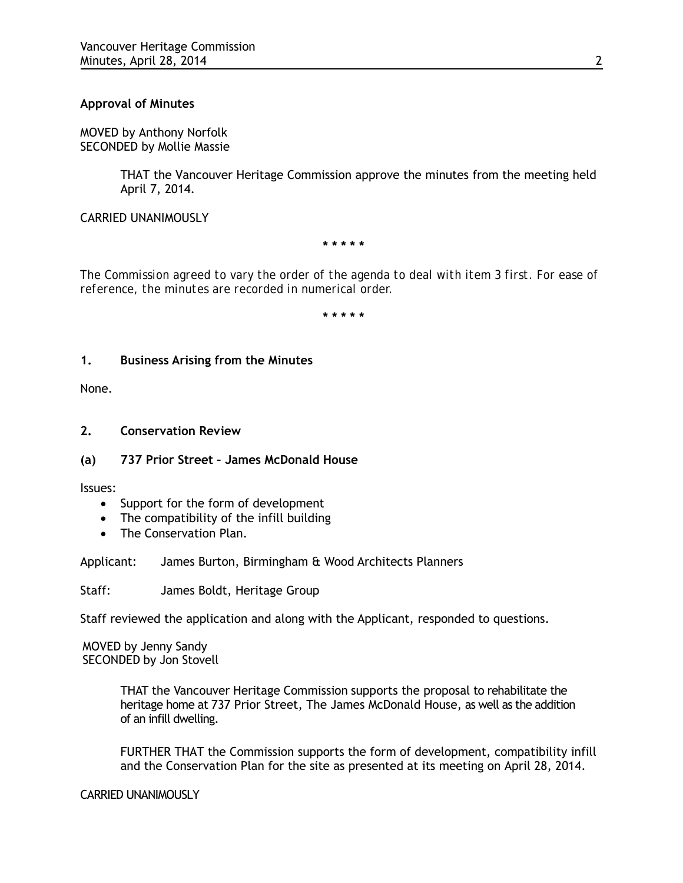## **Approval of Minutes**

MOVED by Anthony Norfolk SECONDED by Mollie Massie

> THAT the Vancouver Heritage Commission approve the minutes from the meeting held April 7, 2014.

CARRIED UNANIMOUSLY

**\* \* \* \* \***

*The Commission agreed to vary the order of the agenda to deal with item 3 first. For ease of reference, the minutes are recorded in numerical order.* 

**\* \* \* \* \***

### **1. Business Arising from the Minutes**

None.

## **2. Conservation Review**

## **(a) 737 Prior Street – James McDonald House**

Issues:

- Support for the form of development
- The compatibility of the infill building
- The Conservation Plan.

### Applicant: James Burton, Birmingham & Wood Architects Planners

Staff: James Boldt, Heritage Group

Staff reviewed the application and along with the Applicant, responded to questions.

MOVED by Jenny Sandy SECONDED by Jon Stovell

> THAT the Vancouver Heritage Commission supports the proposal to rehabilitate the heritage home at 737 Prior Street, The James McDonald House, as well as the addition of an infill dwelling.

FURTHER THAT the Commission supports the form of development, compatibility infill and the Conservation Plan for the site as presented at its meeting on April 28, 2014.

### CARRIED UNANIMOUSLY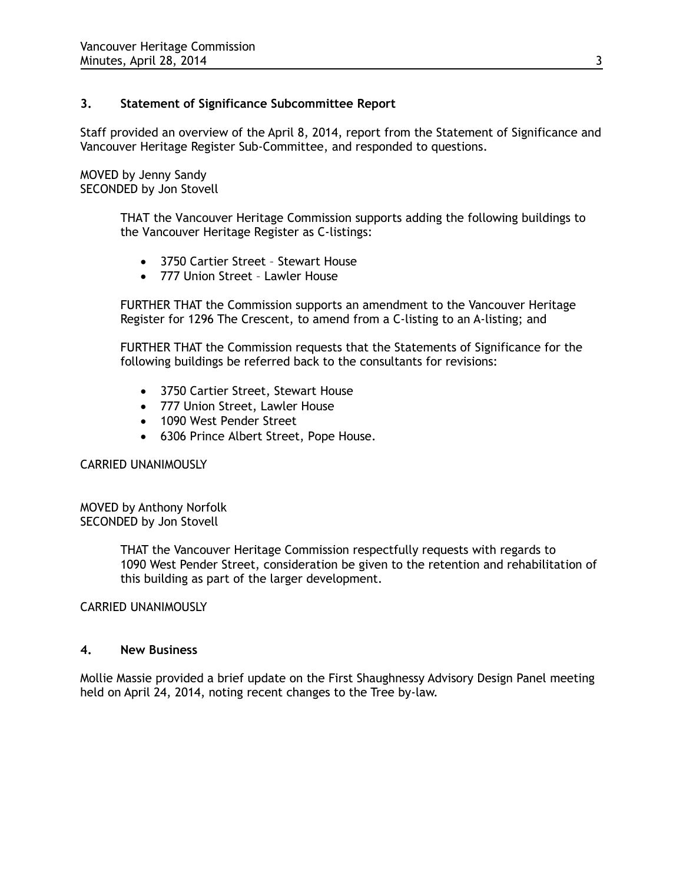## **3. Statement of Significance Subcommittee Report**

Staff provided an overview of the April 8, 2014, report from the Statement of Significance and Vancouver Heritage Register Sub-Committee, and responded to questions.

MOVED by Jenny Sandy SECONDED by Jon Stovell

> THAT the Vancouver Heritage Commission supports adding the following buildings to the Vancouver Heritage Register as C-listings:

- 3750 Cartier Street Stewart House
- 777 Union Street Lawler House

FURTHER THAT the Commission supports an amendment to the Vancouver Heritage Register for 1296 The Crescent, to amend from a C-listing to an A-listing; and

FURTHER THAT the Commission requests that the Statements of Significance for the following buildings be referred back to the consultants for revisions:

- 3750 Cartier Street, Stewart House
- 777 Union Street, Lawler House
- 1090 West Pender Street
- 6306 Prince Albert Street, Pope House.

### CARRIED UNANIMOUSLY

MOVED by Anthony Norfolk SECONDED by Jon Stovell

> THAT the Vancouver Heritage Commission respectfully requests with regards to 1090 West Pender Street, consideration be given to the retention and rehabilitation of this building as part of the larger development.

CARRIED UNANIMOUSLY

### **4. New Business**

Mollie Massie provided a brief update on the First Shaughnessy Advisory Design Panel meeting held on April 24, 2014, noting recent changes to the Tree by-law.